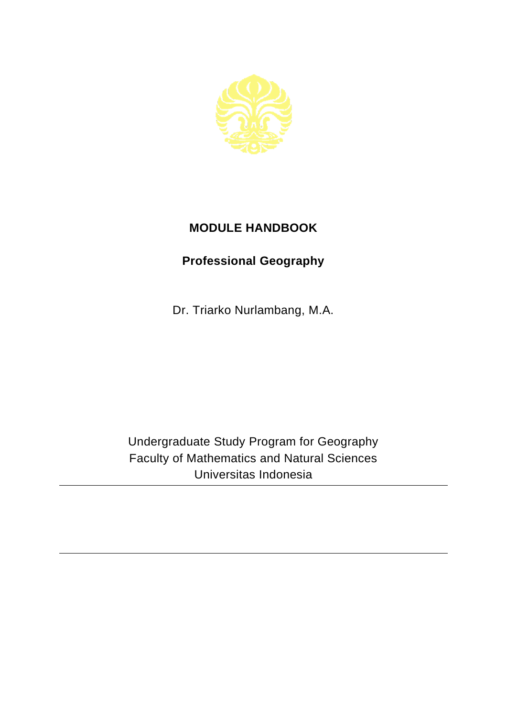

## **MODULE HANDBOOK**

## **Professional Geography**

Dr. Triarko Nurlambang, M.A.

Undergraduate Study Program for Geography Faculty of Mathematics and Natural Sciences Universitas Indonesia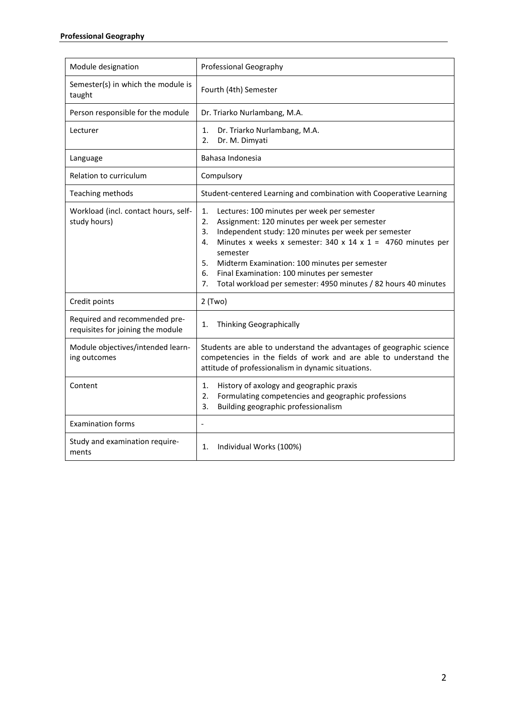| Module designation                                                 | Professional Geography                                                                                                                                                                                                                                                                                                                                                                                                                                   |
|--------------------------------------------------------------------|----------------------------------------------------------------------------------------------------------------------------------------------------------------------------------------------------------------------------------------------------------------------------------------------------------------------------------------------------------------------------------------------------------------------------------------------------------|
| Semester(s) in which the module is<br>taught                       | Fourth (4th) Semester                                                                                                                                                                                                                                                                                                                                                                                                                                    |
| Person responsible for the module                                  | Dr. Triarko Nurlambang, M.A.                                                                                                                                                                                                                                                                                                                                                                                                                             |
| Lecturer                                                           | Dr. Triarko Nurlambang, M.A.<br>1.<br>Dr. M. Dimyati<br>2.                                                                                                                                                                                                                                                                                                                                                                                               |
| Language                                                           | Bahasa Indonesia                                                                                                                                                                                                                                                                                                                                                                                                                                         |
| Relation to curriculum                                             | Compulsory                                                                                                                                                                                                                                                                                                                                                                                                                                               |
| Teaching methods                                                   | Student-centered Learning and combination with Cooperative Learning                                                                                                                                                                                                                                                                                                                                                                                      |
| Workload (incl. contact hours, self-<br>study hours)               | 1.<br>Lectures: 100 minutes per week per semester<br>2.<br>Assignment: 120 minutes per week per semester<br>Independent study: 120 minutes per week per semester<br>3.<br>Minutes x weeks x semester: $340 \times 14 \times 1 = 4760$ minutes per<br>4.<br>semester<br>5.<br>Midterm Examination: 100 minutes per semester<br>6.<br>Final Examination: 100 minutes per semester<br>Total workload per semester: 4950 minutes / 82 hours 40 minutes<br>7. |
| Credit points                                                      | $2$ (Two)                                                                                                                                                                                                                                                                                                                                                                                                                                                |
| Required and recommended pre-<br>requisites for joining the module | <b>Thinking Geographically</b><br>1.                                                                                                                                                                                                                                                                                                                                                                                                                     |
| Module objectives/intended learn-<br>ing outcomes                  | Students are able to understand the advantages of geographic science<br>competencies in the fields of work and are able to understand the<br>attitude of professionalism in dynamic situations.                                                                                                                                                                                                                                                          |
| Content                                                            | History of axology and geographic praxis<br>1.<br>Formulating competencies and geographic professions<br>2.<br>3.<br>Building geographic professionalism                                                                                                                                                                                                                                                                                                 |
| <b>Examination forms</b>                                           | $\overline{a}$                                                                                                                                                                                                                                                                                                                                                                                                                                           |
| Study and examination require-<br>ments                            | Individual Works (100%)<br>1.                                                                                                                                                                                                                                                                                                                                                                                                                            |